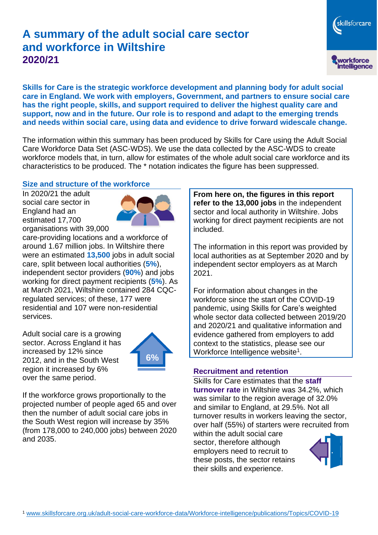# **A summary of the adult social care sector and workforce in Wiltshire 2020/21**

skillsforcare workforce<br>intelligence

**Skills for Care is the strategic workforce development and planning body for adult social care in England. We work with employers, Government, and partners to ensure social care has the right people, skills, and support required to deliver the highest quality care and support, now and in the future. Our role is to respond and adapt to the emerging trends and needs within social care, using data and evidence to drive forward widescale change.**

The information within this summary has been produced by Skills for Care using the Adult Social Care Workforce Data Set (ASC-WDS). We use the data collected by the ASC-WDS to create workforce models that, in turn, allow for estimates of the whole adult social care workforce and its characteristics to be produced. The \* notation indicates the figure has been suppressed.

#### **Size and structure of the workforce**

In 2020/21 the adult social care sector in England had an estimated 17,700 organisations with 39,000



care-providing locations and a workforce of around 1.67 million jobs. In Wiltshire there were an estimated **13,500** jobs in adult social care, split between local authorities (**5%**), independent sector providers (**90%**) and jobs working for direct payment recipients (**5%**). As at March 2021, Wiltshire contained 284 CQCregulated services; of these, 177 were residential and 107 were non-residential services.

Adult social care is a growing sector. Across England it has increased by 12% since 2012, and in the South West region it increased by 6% over the same period.



If the workforce grows proportionally to the projected number of people aged 65 and over then the number of adult social care jobs in the South West region will increase by 35% (from 178,000 to 240,000 jobs) between 2020 and 2035.

**From here on, the figures in this report refer to the 13,000 jobs** in the independent sector and local authority in Wiltshire. Jobs working for direct payment recipients are not included.

The information in this report was provided by local authorities as at September 2020 and by independent sector employers as at March 2021.

For information about changes in the workforce since the start of the COVID-19 pandemic, using Skills for Care's weighted whole sector data collected between 2019/20 and 2020/21 and qualitative information and evidence gathered from employers to add context to the statistics, please see our Workforce Intelligence website<sup>1</sup>.

#### **Recruitment and retention**

Skills for Care estimates that the **staff turnover rate** in Wiltshire was 34.2%, which was similar to the region average of 32.0% and similar to England, at 29.5%. Not all turnover results in workers leaving the sector, over half (55%) of starters were recruited from

within the adult social care sector, therefore although employers need to recruit to these posts, the sector retains their skills and experience.

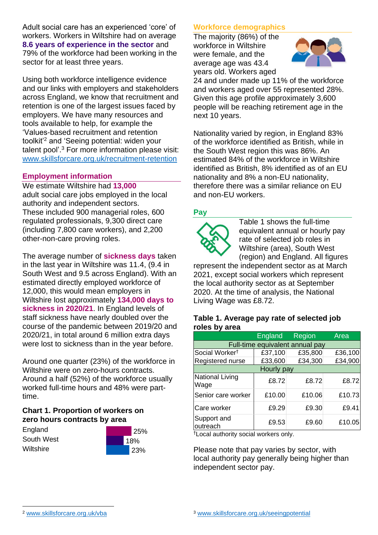Adult social care has an experienced 'core' of workers. Workers in Wiltshire had on average **8.6 years of experience in the sector** and 79% of the workforce had been working in the sector for at least three years.

Using both workforce intelligence evidence and our links with employers and stakeholders across England, we know that recruitment and retention is one of the largest issues faced by employers. We have many resources and tools available to help, for example the 'Values-based recruitment and retention toolkit'<sup>2</sup> and 'Seeing potential: widen your talent pool'. <sup>3</sup> For more information please visit: [www.skillsforcare.org.uk/recruitment-retention](http://www.skillsforcare.org.uk/recruitment-retention)

#### **Employment information**

We estimate Wiltshire had **13,000** adult social care jobs employed in the local authority and independent sectors. These included 900 managerial roles, 600 regulated professionals, 9,300 direct care (including 7,800 care workers), and 2,200 other-non-care proving roles.

The average number of **sickness days** taken in the last year in Wiltshire was 11.4, (9.4 in South West and 9.5 across England). With an estimated directly employed workforce of 12,000, this would mean employers in Wiltshire lost approximately **134,000 days to sickness in 2020/21**. In England levels of staff sickness have nearly doubled over the course of the pandemic between 2019/20 and 2020/21, in total around 6 million extra days were lost to sickness than in the year before.

Around one quarter (23%) of the workforce in Wiltshire were on zero-hours contracts. Around a half (52%) of the workforce usually worked full-time hours and 48% were parttime.

### **Chart 1. Proportion of workers on zero hours contracts by area**

**England** South West **Wiltshire** 



### **Workforce demographics**

The majority (86%) of the workforce in Wiltshire were female, and the average age was 43.4 years old. Workers aged



24 and under made up 11% of the workforce and workers aged over 55 represented 28%. Given this age profile approximately 3,600 people will be reaching retirement age in the next 10 years.

Nationality varied by region, in England 83% of the workforce identified as British, while in the South West region this was 86%. An estimated 84% of the workforce in Wiltshire identified as British, 8% identified as of an EU nationality and 8% a non-EU nationality, therefore there was a similar reliance on EU and non-EU workers.

### **Pay**



Table 1 shows the full-time equivalent annual or hourly pay rate of selected job roles in Wiltshire (area), South West (region) and England. All figures

represent the independent sector as at March 2021, except social workers which represent the local authority sector as at September 2020. At the time of analysis, the National Living Wage was £8.72.

#### **Table 1. Average pay rate of selected job roles by area**

|                                 | <b>England</b> | Region  | Area    |
|---------------------------------|----------------|---------|---------|
| Full-time equivalent annual pay |                |         |         |
| Social Worker <sup>t</sup>      | £37,100        | £35,800 | £36,100 |
| Registered nurse                | £33,600        | £34,300 | £34,900 |
| Hourly pay                      |                |         |         |
| National Living<br>Wage         | £8.72          | £8.72   | £8.72   |
| Senior care worker              | £10.00         | £10.06  | £10.73  |
| Care worker                     | £9.29          | £9.30   | £9.41   |
| Support and<br>outreach         | £9.53          | £9.60   | £10.05  |

†Local authority social workers only.

Please note that pay varies by sector, with local authority pay generally being higher than independent sector pay.